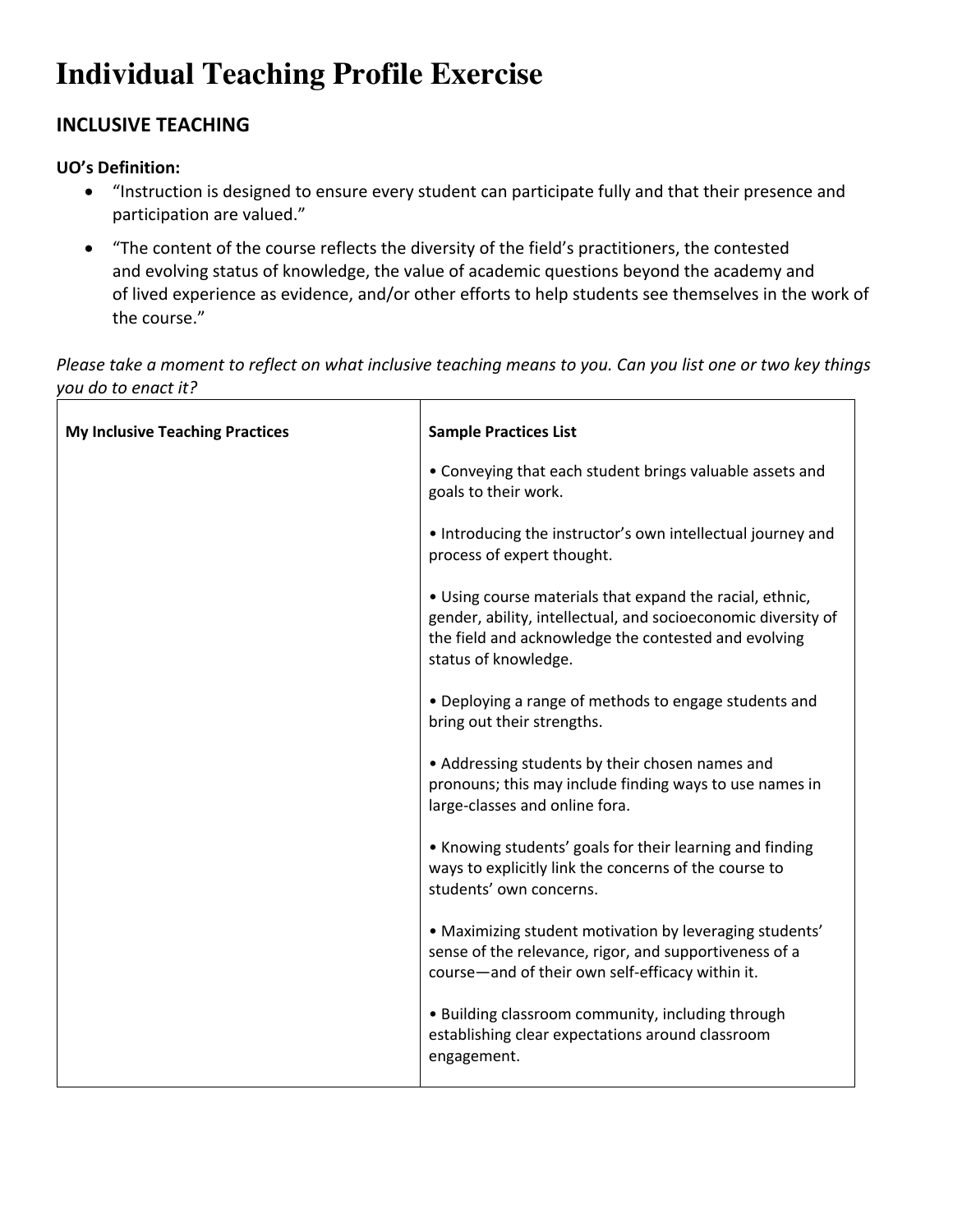# **Individual Teaching Profile Exercise**

# **INCLUSIVE TEACHING**

## **UO's Definition:**

- "Instruction is designed to ensure every student can participate fully and that their presence and participation are valued."
- "The content of the course reflects the diversity of the field's practitioners, the contested and evolving status of knowledge, the value of academic questions beyond the academy and of lived experience as evidence, and/or other efforts to help students see themselves in the work of the course."

*Please take a moment to reflect on what inclusive teaching means to you. Can you list one or two key things you do to enact it?*  <u> 1989 - Johann Barn, mars and de Branch Barn, mars and de Branch Barn, mars and de Branch Barn, mars and de Br</u>  $\top$ ٦

| <b>My Inclusive Teaching Practices</b> | <b>Sample Practices List</b>                                                                                                                                                                              |
|----------------------------------------|-----------------------------------------------------------------------------------------------------------------------------------------------------------------------------------------------------------|
|                                        | • Conveying that each student brings valuable assets and<br>goals to their work.                                                                                                                          |
|                                        | • Introducing the instructor's own intellectual journey and<br>process of expert thought.                                                                                                                 |
|                                        | • Using course materials that expand the racial, ethnic,<br>gender, ability, intellectual, and socioeconomic diversity of<br>the field and acknowledge the contested and evolving<br>status of knowledge. |
|                                        | • Deploying a range of methods to engage students and<br>bring out their strengths.                                                                                                                       |
|                                        | • Addressing students by their chosen names and<br>pronouns; this may include finding ways to use names in<br>large-classes and online fora.                                                              |
|                                        | • Knowing students' goals for their learning and finding<br>ways to explicitly link the concerns of the course to<br>students' own concerns.                                                              |
|                                        | • Maximizing student motivation by leveraging students'<br>sense of the relevance, rigor, and supportiveness of a<br>course-and of their own self-efficacy within it.                                     |
|                                        | • Building classroom community, including through<br>establishing clear expectations around classroom<br>engagement.                                                                                      |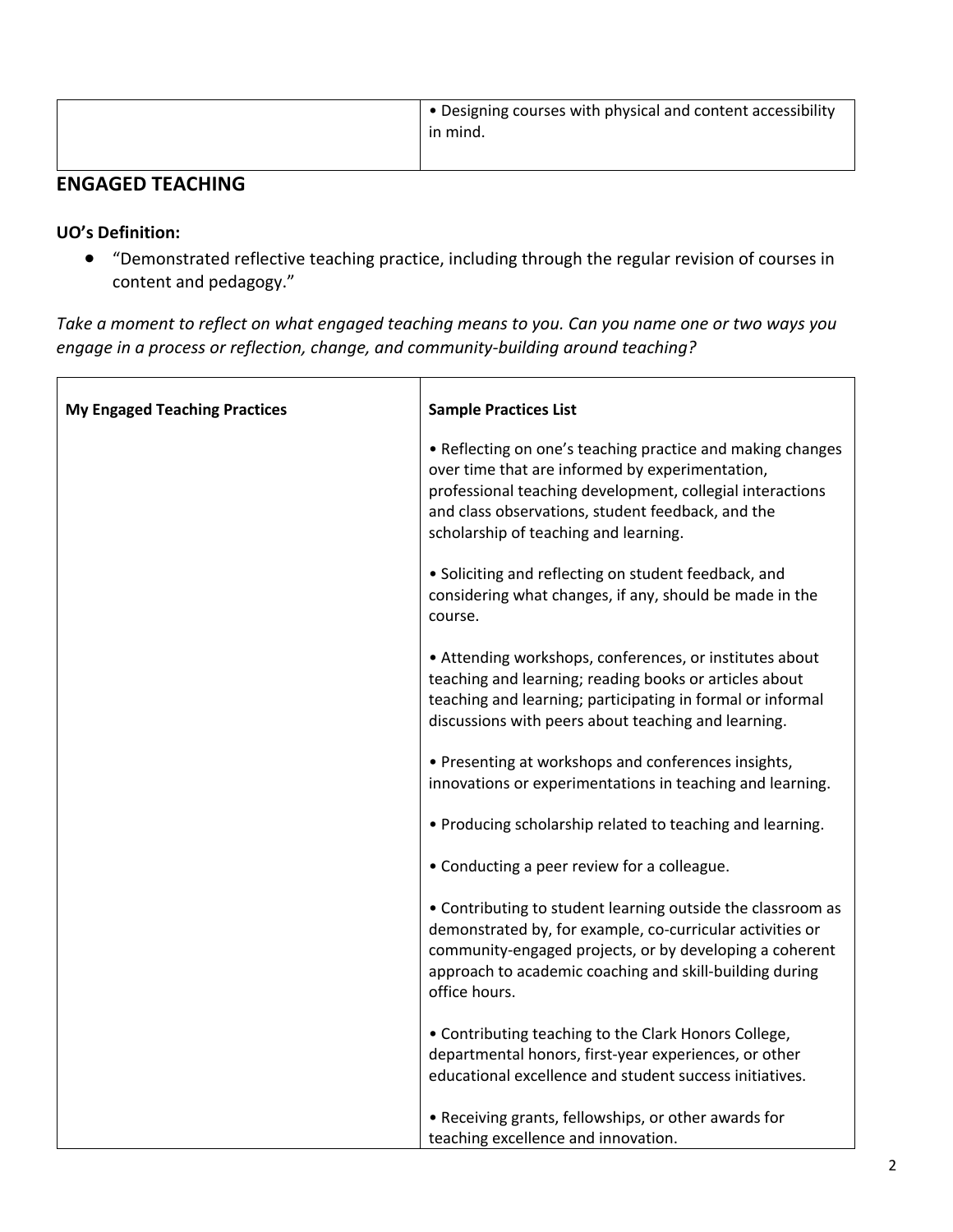| • Designing courses with physical and content accessibility<br>in mind. |
|-------------------------------------------------------------------------|
|                                                                         |

## **ENGAGED TEACHING**

#### **UO's Definition:**

 $\Gamma$ 

• "Demonstrated reflective teaching practice, including through the regular revision of courses in content and pedagogy."

*Take a moment to reflect on what engaged teaching means to you. Can you name one or two ways you engage in a process or reflection, change, and community-building around teaching?* 

| <b>My Engaged Teaching Practices</b> | <b>Sample Practices List</b>                                                                                                                                                                                                                                             |
|--------------------------------------|--------------------------------------------------------------------------------------------------------------------------------------------------------------------------------------------------------------------------------------------------------------------------|
|                                      | • Reflecting on one's teaching practice and making changes<br>over time that are informed by experimentation,<br>professional teaching development, collegial interactions<br>and class observations, student feedback, and the<br>scholarship of teaching and learning. |
|                                      | • Soliciting and reflecting on student feedback, and<br>considering what changes, if any, should be made in the<br>course.                                                                                                                                               |
|                                      | • Attending workshops, conferences, or institutes about<br>teaching and learning; reading books or articles about<br>teaching and learning; participating in formal or informal<br>discussions with peers about teaching and learning.                                   |
|                                      | • Presenting at workshops and conferences insights,<br>innovations or experimentations in teaching and learning.                                                                                                                                                         |
|                                      | • Producing scholarship related to teaching and learning.                                                                                                                                                                                                                |
|                                      | • Conducting a peer review for a colleague.                                                                                                                                                                                                                              |
|                                      | • Contributing to student learning outside the classroom as<br>demonstrated by, for example, co-curricular activities or<br>community-engaged projects, or by developing a coherent<br>approach to academic coaching and skill-building during<br>office hours.          |
|                                      | • Contributing teaching to the Clark Honors College,<br>departmental honors, first-year experiences, or other<br>educational excellence and student success initiatives.                                                                                                 |
|                                      | • Receiving grants, fellowships, or other awards for<br>teaching excellence and innovation.                                                                                                                                                                              |

 $\overline{\mathbf{1}}$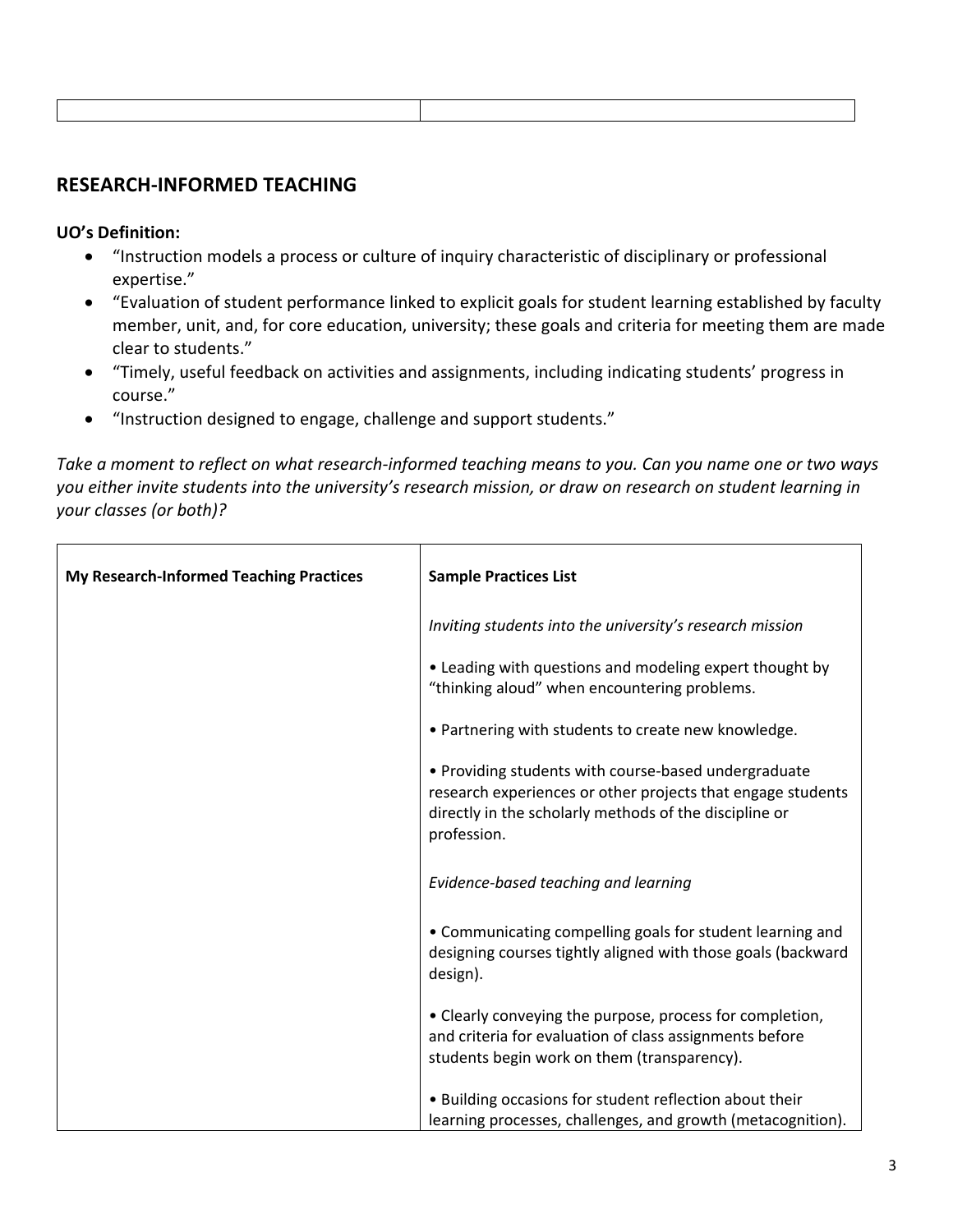## **RESEARCH-INFORMED TEACHING**

## **UO's Definition:**

- "Instruction models a process or culture of inquiry characteristic of disciplinary or professional expertise."
- "Evaluation of student performance linked to explicit goals for student learning established by faculty member, unit, and, for core education, university; these goals and criteria for meeting them are made clear to students."
- "Timely, useful feedback on activities and assignments, including indicating students' progress in course."
- "Instruction designed to engage, challenge and support students."

*Take a moment to reflect on what research-informed teaching means to you. Can you name one or two ways you either invite students into the university's research mission, or draw on research on student learning in your classes (or both)?* 

| <b>My Research-Informed Teaching Practices</b> | <b>Sample Practices List</b>                                                                                                                                                                 |
|------------------------------------------------|----------------------------------------------------------------------------------------------------------------------------------------------------------------------------------------------|
|                                                | Inviting students into the university's research mission                                                                                                                                     |
|                                                | • Leading with questions and modeling expert thought by<br>"thinking aloud" when encountering problems.                                                                                      |
|                                                | • Partnering with students to create new knowledge.                                                                                                                                          |
|                                                | • Providing students with course-based undergraduate<br>research experiences or other projects that engage students<br>directly in the scholarly methods of the discipline or<br>profession. |
|                                                | Evidence-based teaching and learning                                                                                                                                                         |
|                                                | • Communicating compelling goals for student learning and<br>designing courses tightly aligned with those goals (backward<br>design).                                                        |
|                                                | • Clearly conveying the purpose, process for completion,<br>and criteria for evaluation of class assignments before<br>students begin work on them (transparency).                           |
|                                                | • Building occasions for student reflection about their<br>learning processes, challenges, and growth (metacognition).                                                                       |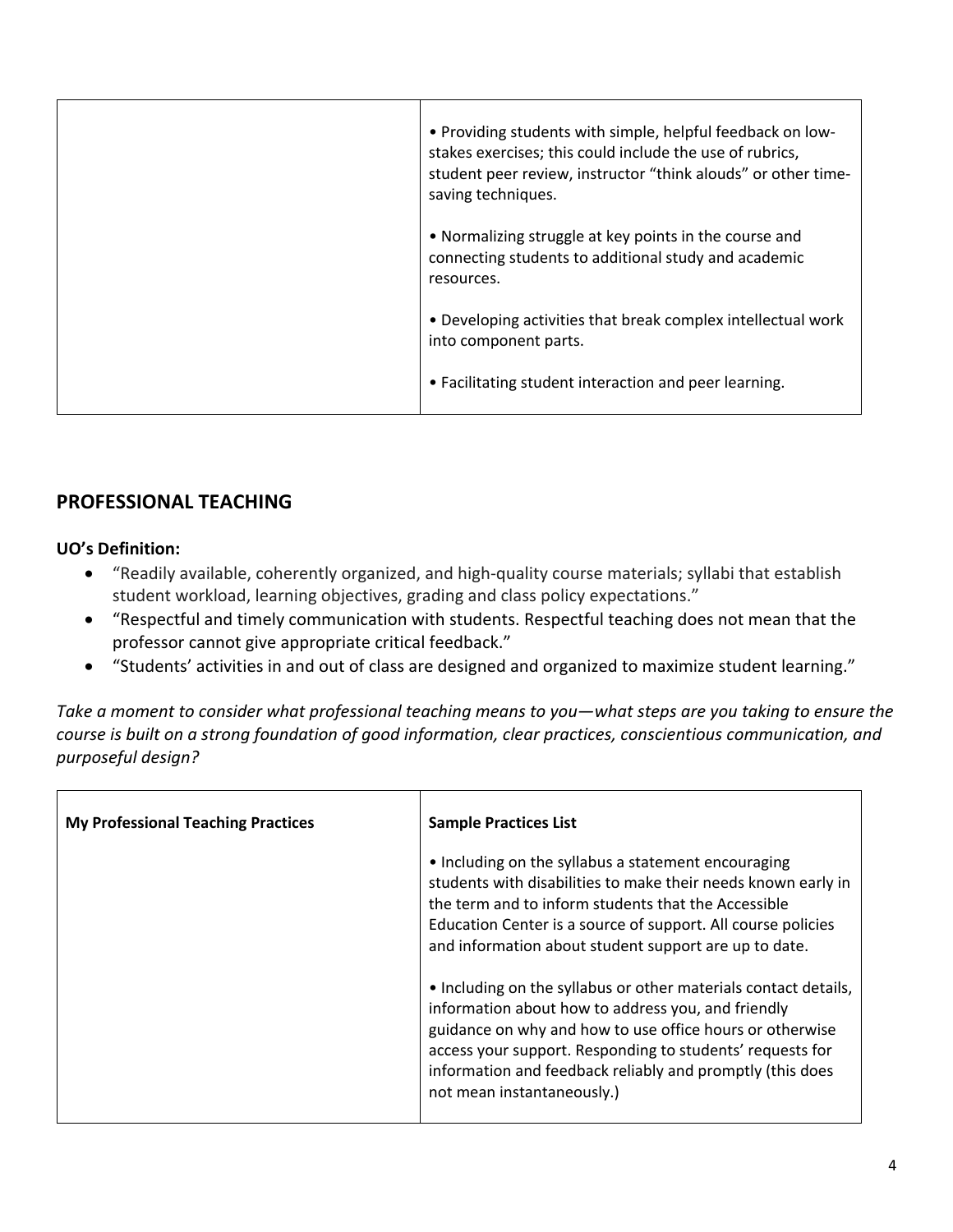| • Providing students with simple, helpful feedback on low-<br>stakes exercises; this could include the use of rubrics,<br>student peer review, instructor "think alouds" or other time-<br>saving techniques. |
|---------------------------------------------------------------------------------------------------------------------------------------------------------------------------------------------------------------|
| • Normalizing struggle at key points in the course and<br>connecting students to additional study and academic<br>resources.                                                                                  |
| • Developing activities that break complex intellectual work<br>into component parts.                                                                                                                         |
| • Facilitating student interaction and peer learning.                                                                                                                                                         |

# **PROFESSIONAL TEACHING**

## **UO's Definition:**

- "Readily available, coherently organized, and high-quality course materials; syllabi that establish student workload, learning objectives, grading and class policy expectations."
- "Respectful and timely communication with students. Respectful teaching does not mean that the professor cannot give appropriate critical feedback."
- "Students' activities in and out of class are designed and organized to maximize student learning."

*Take a moment to consider what professional teaching means to you—what steps are you taking to ensure the course is built on a strong foundation of good information, clear practices, conscientious communication, and purposeful design?*

| <b>My Professional Teaching Practices</b> | <b>Sample Practices List</b>                                                                                                                                                                                                                                                                                                              |
|-------------------------------------------|-------------------------------------------------------------------------------------------------------------------------------------------------------------------------------------------------------------------------------------------------------------------------------------------------------------------------------------------|
|                                           | • Including on the syllabus a statement encouraging<br>students with disabilities to make their needs known early in<br>the term and to inform students that the Accessible<br>Education Center is a source of support. All course policies<br>and information about student support are up to date.                                      |
|                                           | • Including on the syllabus or other materials contact details,<br>information about how to address you, and friendly<br>guidance on why and how to use office hours or otherwise<br>access your support. Responding to students' requests for<br>information and feedback reliably and promptly (this does<br>not mean instantaneously.) |